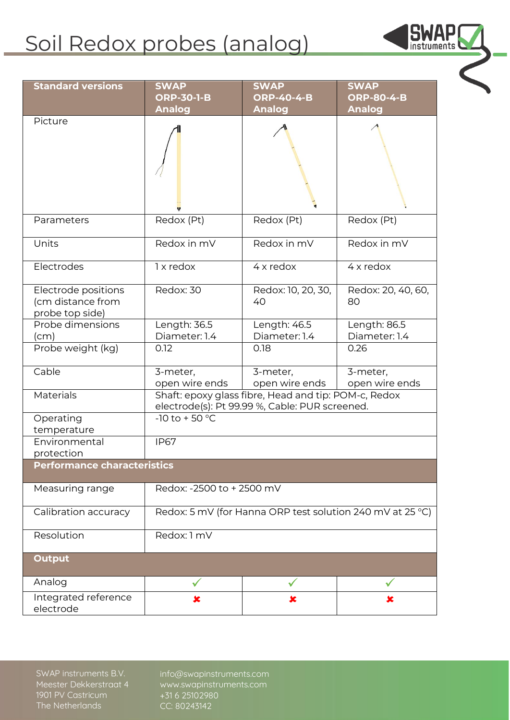## Soil Redox probes (analog)

| <b>Standard versions</b>                                    | <b>SWAP</b>                                                                                            | <b>SWAP</b>                | <b>SWAP</b>                |
|-------------------------------------------------------------|--------------------------------------------------------------------------------------------------------|----------------------------|----------------------------|
|                                                             | <b>ORP-30-1-B</b>                                                                                      | <b>ORP-40-4-B</b>          | <b>ORP-80-4-B</b>          |
|                                                             | <b>Analog</b>                                                                                          | <b>Analog</b>              | <b>Analog</b>              |
| Picture                                                     |                                                                                                        |                            |                            |
| Parameters                                                  | Redox (Pt)                                                                                             | Redox (Pt)                 | Redox (Pt)                 |
| Units                                                       | Redox in mV                                                                                            | Redox in mV                | Redox in mV                |
| Electrodes                                                  | 1 x redox                                                                                              | $4x$ redox                 | $4x$ redox                 |
| Electrode positions<br>(cm distance from<br>probe top side) | Redox: 30                                                                                              | Redox: 10, 20, 30,<br>40   | Redox: 20, 40, 60,<br>80   |
| Probe dimensions                                            | Length: 36.5                                                                                           | Length: 46.5               | Length: 86.5               |
| (cm)<br>Probe weight (kg)                                   | Diameter: 1.4<br>0.12                                                                                  | Diameter: 1.4<br>0.18      | Diameter: 1.4<br>0.26      |
|                                                             |                                                                                                        |                            |                            |
| Cable                                                       | 3-meter,<br>open wire ends                                                                             | 3-meter,<br>open wire ends | 3-meter,<br>open wire ends |
| <b>Materials</b>                                            | Shaft: epoxy glass fibre, Head and tip: POM-c, Redox<br>electrode(s): Pt 99.99 %, Cable: PUR screened. |                            |                            |
| Operating<br>temperature                                    | $-10$ to $+50$ °C                                                                                      |                            |                            |
| Environmental<br>protection                                 | <b>IP67</b>                                                                                            |                            |                            |
| <b>Performance characteristics</b>                          |                                                                                                        |                            |                            |
| Measuring range                                             | Redox: -2500 to + 2500 mV                                                                              |                            |                            |
| Calibration accuracy                                        | Redox: 5 mV (for Hanna ORP test solution 240 mV at 25 °C)                                              |                            |                            |
| Resolution                                                  | Redox: 1 mV                                                                                            |                            |                            |
| <b>Output</b>                                               |                                                                                                        |                            |                            |
| Analog                                                      |                                                                                                        |                            |                            |
| Integrated reference<br>electrode                           | x                                                                                                      | x                          | x                          |

**SWAP** 

**SWAP instruments B.V. Meester Dekkerstraat 4 1901 PV Castricum The Netherlands**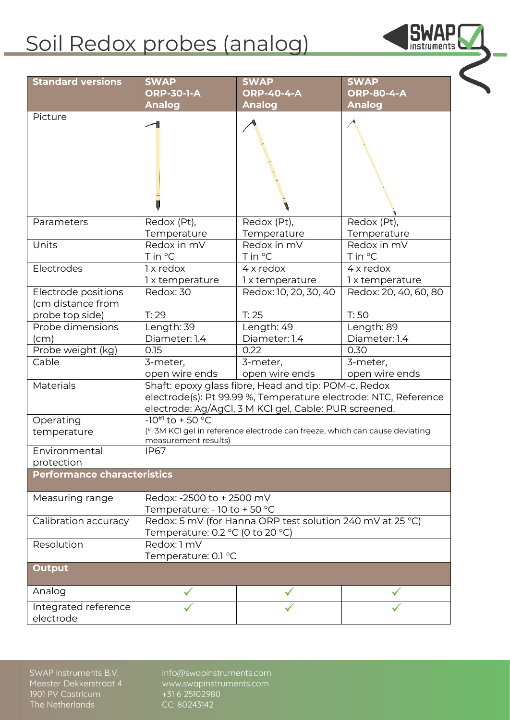## Soil Redox probes (analog)

| <b>Standard versions</b>                 | <b>SWAP</b>                                                                                                                                                                      | <b>SWAP</b>                  | <b>SWAP</b>                   |  |
|------------------------------------------|----------------------------------------------------------------------------------------------------------------------------------------------------------------------------------|------------------------------|-------------------------------|--|
|                                          | <b>ORP-30-1-A</b>                                                                                                                                                                | <b>ORP-40-4-A</b>            | <b>ORP-80-4-A</b>             |  |
|                                          | <b>Analog</b>                                                                                                                                                                    | <b>Analog</b>                | <b>Analog</b>                 |  |
| Picture                                  |                                                                                                                                                                                  |                              |                               |  |
| Parameters                               | Redox (Pt),<br>Temperature                                                                                                                                                       | Redox (Pt),<br>Temperature   | Redox (Pt),<br>Temperature    |  |
| Units                                    | Redox in mV<br>T in °C                                                                                                                                                           | Redox in mV<br>T in °C       | Redox in mV<br>T in °C        |  |
| Electrodes                               | 1 x redox<br>1 x temperature                                                                                                                                                     | 4 x redox<br>1 x temperature | $4x$ redox<br>1 x temperature |  |
| Electrode positions<br>(cm distance from | Redox: 30                                                                                                                                                                        | Redox: 10, 20, 30, 40        | Redox: 20, 40, 60, 80         |  |
| probe top side)                          | T: 29                                                                                                                                                                            | T: 25                        | T:50                          |  |
| Probe dimensions                         | Length: 39                                                                                                                                                                       | Length: 49                   | Length: 89                    |  |
| (cm)                                     | Diameter: 1.4                                                                                                                                                                    | Diameter: 1.4                | Diameter: 1.4                 |  |
| Probe weight (kg)<br>Cable               | 0.15                                                                                                                                                                             | 0.22                         | 0.30                          |  |
|                                          | 3-meter,<br>open wire ends                                                                                                                                                       | 3-meter,<br>open wire ends   | 3-meter,<br>open wire ends    |  |
| <b>Materials</b>                         | Shaft: epoxy glass fibre, Head and tip: POM-c, Redox<br>electrode(s): Pt 99.99 %, Temperature electrode: NTC, Reference<br>electrode: Ag/AgCl, 3 M KCl gel, Cable: PUR screened. |                              |                               |  |
| Operating                                | $-10^{#1}$ to + 50 °C                                                                                                                                                            |                              |                               |  |
| temperature                              | (#1 3M KCI gel in reference electrode can freeze, which can cause deviating<br>measurement results)                                                                              |                              |                               |  |
| Environmental<br>protection              | <b>IP67</b>                                                                                                                                                                      |                              |                               |  |
| Performance characteristics              |                                                                                                                                                                                  |                              |                               |  |
| Measuring range                          | Redox: -2500 to + 2500 mV<br>Temperature: - 10 to + 50 °C                                                                                                                        |                              |                               |  |
| Calibration accuracy                     | Redox: 5 mV (for Hanna ORP test solution 240 mV at 25 °C)<br>Temperature: 0.2 $^{\circ}$ C (0 to 20 $^{\circ}$ C)                                                                |                              |                               |  |
| Resolution                               | Redox: 1 mV<br>Temperature: 0.1 °C                                                                                                                                               |                              |                               |  |
| <b>Output</b>                            |                                                                                                                                                                                  |                              |                               |  |
| Analog                                   |                                                                                                                                                                                  |                              |                               |  |
| Integrated reference<br>electrode        |                                                                                                                                                                                  |                              |                               |  |

**SWAP** 

**SWAP instruments B.V. Meester Dekkerstraat 4 1901 PV Castricum The Netherlands**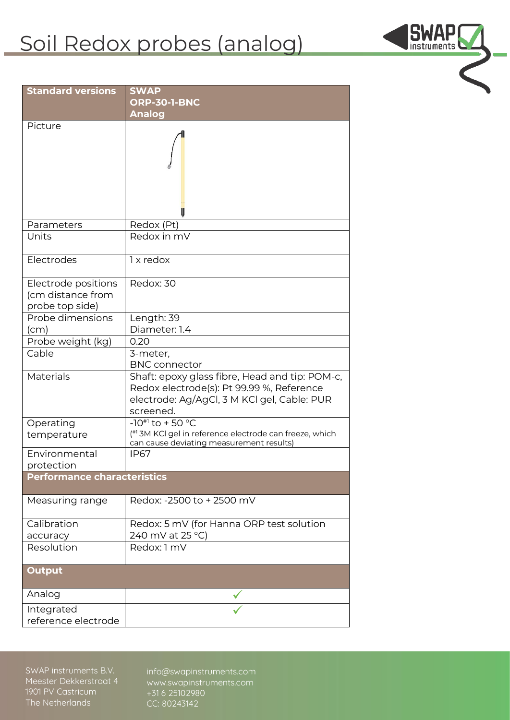## Soil Redox probes (analog)

**SWAP** 

| <b>Standard versions</b>                                    | <b>SWAP</b>                                                                                                                                             |  |  |  |
|-------------------------------------------------------------|---------------------------------------------------------------------------------------------------------------------------------------------------------|--|--|--|
|                                                             | <b>ORP-30-1-BNC</b><br><b>Analog</b>                                                                                                                    |  |  |  |
| Picture                                                     |                                                                                                                                                         |  |  |  |
| Parameters                                                  | Redox (Pt)                                                                                                                                              |  |  |  |
| Units                                                       | Redox in mV                                                                                                                                             |  |  |  |
| Electrodes                                                  | 1 x redox                                                                                                                                               |  |  |  |
| Electrode positions<br>(cm distance from<br>probe top side) | Redox: 30                                                                                                                                               |  |  |  |
| Probe dimensions                                            | Length: 39                                                                                                                                              |  |  |  |
| (cm)                                                        | Diameter: 1.4                                                                                                                                           |  |  |  |
| Probe weight (kg)<br>Cable                                  | 0.20<br>3-meter,                                                                                                                                        |  |  |  |
|                                                             | <b>BNC</b> connector                                                                                                                                    |  |  |  |
| Materials                                                   | Shaft: epoxy glass fibre, Head and tip: POM-c,<br>Redox electrode(s): Pt 99.99 %, Reference<br>electrode: Ag/AgCl, 3 M KCl gel, Cable: PUR<br>screened. |  |  |  |
| Operating                                                   | $-10^{#1}$ to + 50 °C                                                                                                                                   |  |  |  |
| temperature                                                 | (#1 3M KCl gel in reference electrode can freeze, which<br>can cause deviating measurement results)                                                     |  |  |  |
| Environmental<br>protection                                 | <b>IP67</b>                                                                                                                                             |  |  |  |
| <b>Performance characteristics</b>                          |                                                                                                                                                         |  |  |  |
| Measuring range                                             | Redox: -2500 to + 2500 mV                                                                                                                               |  |  |  |
| Calibration                                                 | Redox: 5 mV (for Hanna ORP test solution                                                                                                                |  |  |  |
| accuracy                                                    | 240 mV at 25 °C)                                                                                                                                        |  |  |  |
| Resolution                                                  | Redox: 1 mV                                                                                                                                             |  |  |  |
| <b>Output</b>                                               |                                                                                                                                                         |  |  |  |
| Analog                                                      |                                                                                                                                                         |  |  |  |
| Integrated                                                  |                                                                                                                                                         |  |  |  |
| reference electrode                                         |                                                                                                                                                         |  |  |  |

**SWAP instruments B.V. Meester Dekkerstraat 4 1901 PV Castricum The Netherlands**